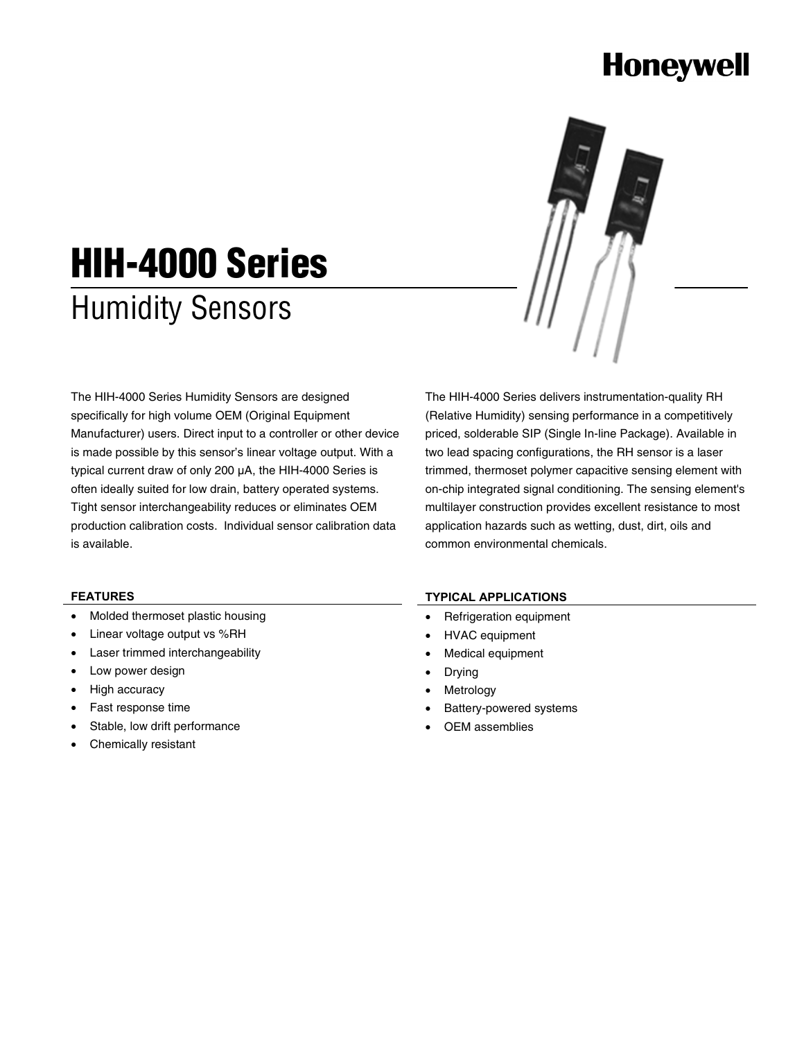# **Honeywell**



# **HIH-4000 Series**  Humidity Sensors

The HIH-4000 Series Humidity Sensors are designed specifically for high volume OEM (Original Equipment Manufacturer) users. Direct input to a controller or other device is made possible by this sensor's linear voltage output. With a typical current draw of only 200 µA, the HIH-4000 Series is often ideally suited for low drain, battery operated systems. Tight sensor interchangeability reduces or eliminates OEM production calibration costs. Individual sensor calibration data is available.

The HIH-4000 Series delivers instrumentation-quality RH (Relative Humidity) sensing performance in a competitively priced, solderable SIP (Single In-line Package). Available in two lead spacing configurations, the RH sensor is a laser trimmed, thermoset polymer capacitive sensing element with on-chip integrated signal conditioning. The sensing element's multilayer construction provides excellent resistance to most application hazards such as wetting, dust, dirt, oils and common environmental chemicals.

# **FEATURES**

- Molded thermoset plastic housing
- Linear voltage output vs %RH
- Laser trimmed interchangeability
- Low power design
- High accuracy
- Fast response time
- Stable, low drift performance
- Chemically resistant

# **TYPICAL APPLICATIONS**

- Refrigeration equipment
- HVAC equipment
- Medical equipment
- Drying
- **Metrology**
- Battery-powered systems
- OEM assemblies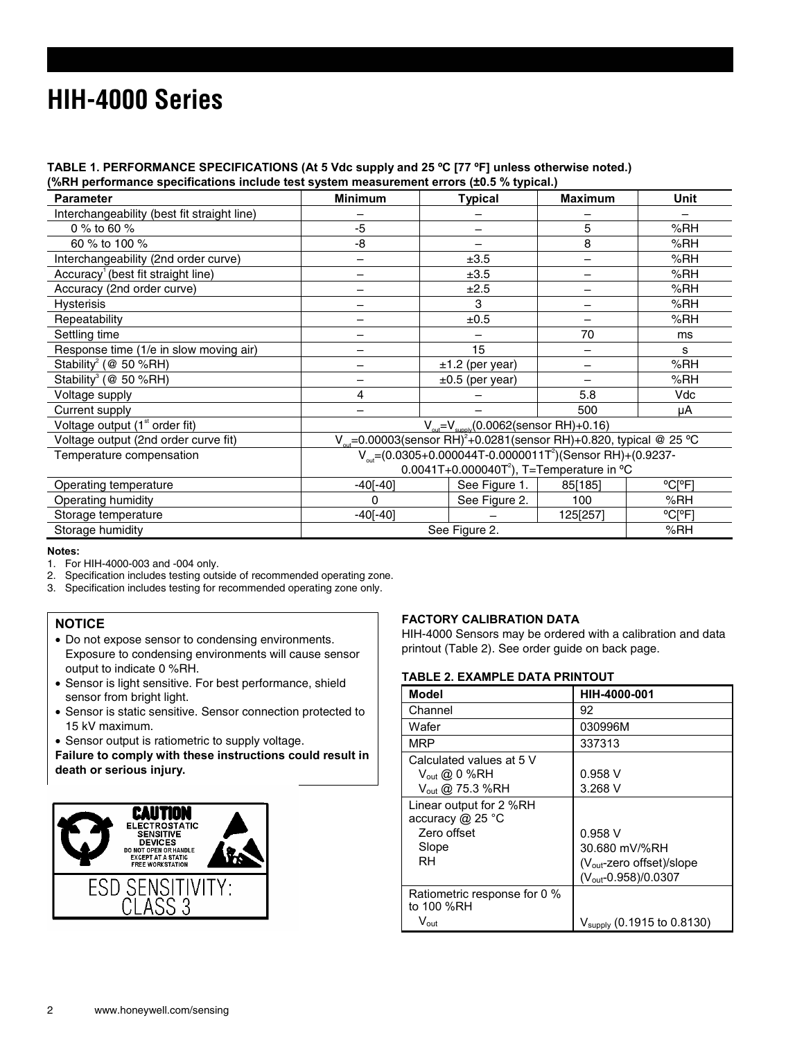# **HIH-4000 Series**

# **TABLE 1. PERFORMANCE SPECIFICATIONS (At 5 Vdc supply and 25 ºC [77 ºF] unless otherwise noted.)**

**(%RH performance specifications include test system measurement errors (±0.5 % typical.)** 

| <b>Parameter</b>                               | <b>Minimum</b>                                                                              | <b>Typical</b>       | <b>Maximum</b> | <b>Unit</b> |
|------------------------------------------------|---------------------------------------------------------------------------------------------|----------------------|----------------|-------------|
| Interchangeability (best fit straight line)    |                                                                                             |                      |                |             |
| 0 % to 60 %                                    | -5                                                                                          |                      | 5              | %RH         |
| 60 % to 100 %                                  | -8                                                                                          |                      | 8              | %RH         |
| Interchangeability (2nd order curve)           |                                                                                             | ±3.5                 |                | %RH         |
| Accuracy <sup>1</sup> (best fit straight line) |                                                                                             | ±3.5                 |                | %RH         |
| Accuracy (2nd order curve)                     |                                                                                             | ±2.5                 |                | %RH         |
| <b>Hysterisis</b>                              |                                                                                             | 3                    |                | %RH         |
| Repeatability                                  |                                                                                             | ±0.5                 |                | %RH         |
| Settling time                                  |                                                                                             |                      | 70             | ms          |
| Response time (1/e in slow moving air)         |                                                                                             | 15                   |                | s           |
| Stability <sup>2</sup> (@ 50 %RH)              |                                                                                             | $±1.2$ (per year)    |                | %RH         |
| Stability <sup>3</sup> ( $@$ 50 %RH)           |                                                                                             | $\pm 0.5$ (per year) |                | %RH         |
| Voltage supply                                 | 4                                                                                           |                      | 5.8            | Vdc         |
| Current supply                                 |                                                                                             |                      | 500            | μA          |
| Voltage output $(1st$ order fit)               | $V_{\text{out}} = V_{\text{supp}(0.0062 \text{(sensor RH)} + 0.16)$                         |                      |                |             |
| Voltage output (2nd order curve fit)           | V <sub>ari</sub> =0.00003(sensor RH) <sup>2</sup> +0.0281(sensor RH)+0.820, typical @ 25 °C |                      |                |             |
| Temperature compensation                       | $V_{\text{out}} = (0.0305 + 0.000044T - 0.0000011T^2)(\text{Sensor RH}) + (0.9237 -$        |                      |                |             |
|                                                | 0.0041T+0.000040T <sup>2</sup> ), T=Temperature in $°C$                                     |                      |                |             |
| Operating temperature                          | $-40[-40]$                                                                                  | See Figure 1.        | 85[185]        | °C[°F]      |
| Operating humidity                             | 0                                                                                           | See Figure 2.        | 100            | % $RH$      |
| Storage temperature                            | $-40[-40]$                                                                                  |                      | 125[257]       | °C[°F]      |
| Storage humidity                               | See Figure 2.                                                                               |                      |                | %RH         |

### **Notes:**

- 1. For HIH-4000-003 and -004 only.<br>2. Specification includes testing outs
- 2. Specification includes testing outside of recommended operating zone.
- 3. Specification includes testing for recommended operating zone only.

# **NOTICE**

- Do not expose sensor to condensing environments. Exposure to condensing environments will cause sensor output to indicate 0 %RH.
- Sensor is light sensitive. For best performance, shield sensor from bright light.
- Sensor is static sensitive. Sensor connection protected to 15 kV maximum.
- Sensor output is ratiometric to supply voltage.

**Failure to comply with these instructions could result in death or serious injury.** 



# **FACTORY CALIBRATION DATA**

HIH-4000 Sensors may be ordered with a calibration and data printout (Table 2). See order guide on back page.

# **TABLE 2. EXAMPLE DATA PRINTOUT**

| <b>Model</b>                                                                          | HIH-4000-001                                                                                   |
|---------------------------------------------------------------------------------------|------------------------------------------------------------------------------------------------|
| Channel                                                                               | 92                                                                                             |
| Wafer                                                                                 | 030996M                                                                                        |
| MRP                                                                                   | 337313                                                                                         |
| Calculated values at 5 V<br>$V_{out}$ @ 0 %RH<br>$V_{\text{out}}$ @ 75.3 %RH          | 0.958V<br>3.268V                                                                               |
| Linear output for 2 %RH<br>accuracy $@$ 25 $^{\circ}$ C<br>Zero offset<br>Slope<br>RH | 0.958V<br>30.680 mV/%RH<br>$(V_{\text{out}}$ -zero offset)/slope<br>$(V_{out} - 0.958)/0.0307$ |
| Ratiometric response for 0 %<br>to 100 %RH<br>$\mathsf{V}_{\mathsf{out}}$             | V <sub>supply</sub> (0.1915 to 0.8130)                                                         |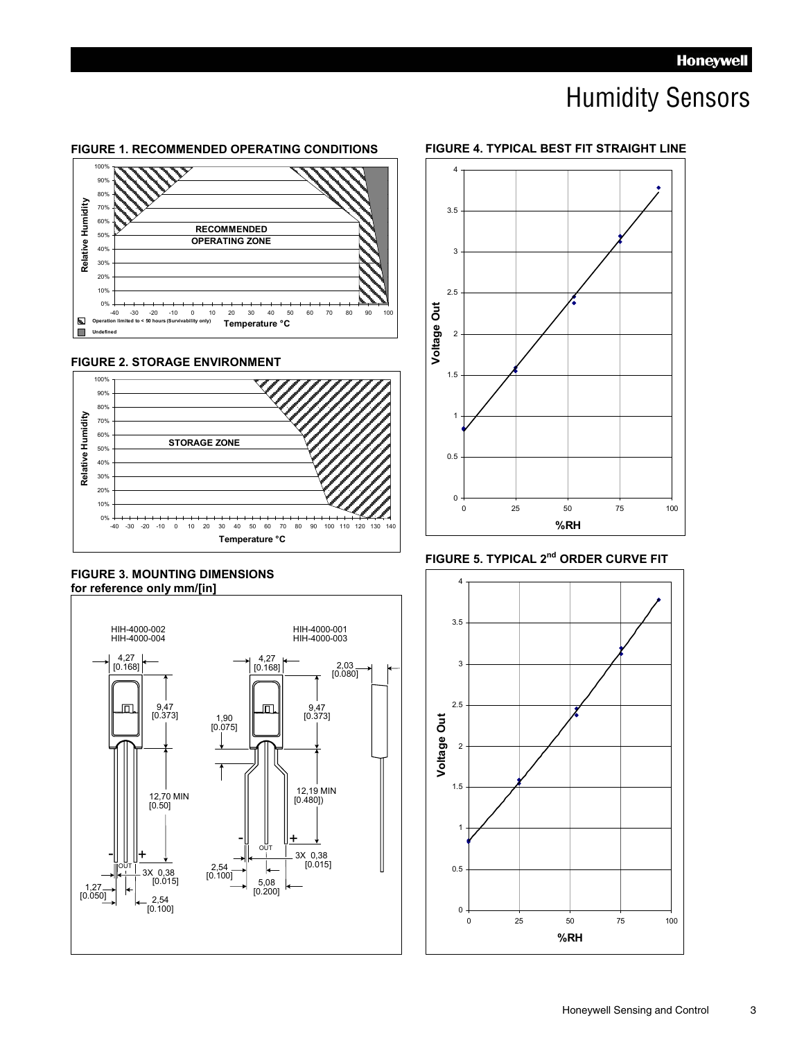# Humidity Sensors

#### **FIGURE 1. RECOMMENDED OPERATING CONDITIONS**







# **FIGURE 3. MOUNTING DIMENSIONS for reference only mm/[in]**





# **FIGURE 5. TYPICAL 2<sup>nd</sup> ORDER CURVE FIT**



# **FIGURE 4. TYPICAL BEST FIT STRAIGHT LINE**